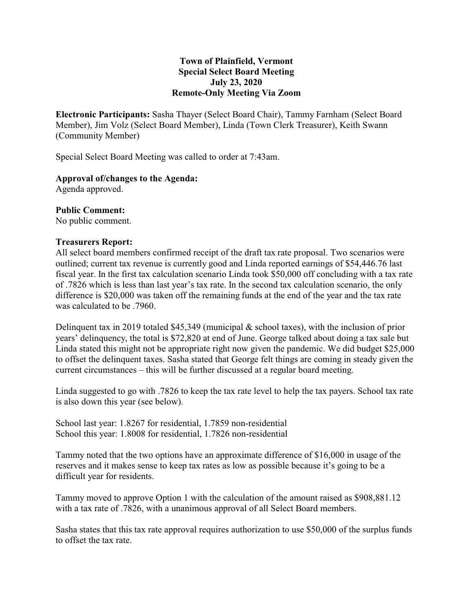## **Town of Plainfield, Vermont Special Select Board Meeting July 23, 2020 Remote-Only Meeting Via Zoom**

**Electronic Participants:** Sasha Thayer (Select Board Chair), Tammy Farnham (Select Board Member), Jim Volz (Select Board Member), Linda (Town Clerk Treasurer), Keith Swann (Community Member)

Special Select Board Meeting was called to order at 7:43am.

## **Approval of/changes to the Agenda:**

Agenda approved.

#### **Public Comment:**

No public comment.

#### **Treasurers Report:**

All select board members confirmed receipt of the draft tax rate proposal. Two scenarios were outlined; current tax revenue is currently good and Linda reported earnings of \$54,446.76 last fiscal year. In the first tax calculation scenario Linda took \$50,000 off concluding with a tax rate of .7826 which is less than last year's tax rate. In the second tax calculation scenario, the only difference is \$20,000 was taken off the remaining funds at the end of the year and the tax rate was calculated to be .7960.

Delinquent tax in 2019 totaled \$45,349 (municipal  $\&$  school taxes), with the inclusion of prior years' delinquency, the total is \$72,820 at end of June. George talked about doing a tax sale but Linda stated this might not be appropriate right now given the pandemic. We did budget \$25,000 to offset the delinquent taxes. Sasha stated that George felt things are coming in steady given the current circumstances – this will be further discussed at a regular board meeting.

Linda suggested to go with .7826 to keep the tax rate level to help the tax payers. School tax rate is also down this year (see below).

School last year: 1.8267 for residential, 1.7859 non-residential School this year: 1.8008 for residential, 1.7826 non-residential

Tammy noted that the two options have an approximate difference of \$16,000 in usage of the reserves and it makes sense to keep tax rates as low as possible because it's going to be a difficult year for residents.

Tammy moved to approve Option 1 with the calculation of the amount raised as \$908,881.12 with a tax rate of .7826, with a unanimous approval of all Select Board members.

Sasha states that this tax rate approval requires authorization to use \$50,000 of the surplus funds to offset the tax rate.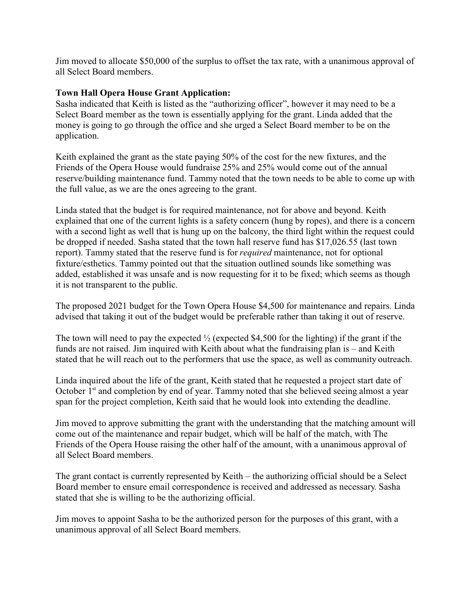Jim moved to allocate \$50,000 of the surplus to offset the tax rate, with a unanimous approval of all Select Board members.

# **Town Hall Opera House Grant Application:**

Sasha indicated that Keith is listed as the "authorizing officer", however it may need to be a Select Board member as the town is essentially applying for the grant. Linda added that the money is going to go through the office and she urged a Select Board member to be on the application.

Keith explained the grant as the state paying 50% of the cost for the new fixtures, and the Friends of the Opera House would fundraise 25% and 25% would come out of the annual reserve/building maintenance fund. Tammy noted that the town needs to be able to come up with the full value, as we are the ones agreeing to the grant.

Linda stated that the budget is for required maintenance, not for above and beyond. Keith explained that one of the current lights is a safety concern (hung by ropes), and there is a concern with a second light as well that is hung up on the balcony, the third light within the request could be dropped if needed. Sasha stated that the town hall reserve fund has \$17,026.55 (last town report). Tammy stated that the reserve fund is for *required* maintenance, not for optional fixture/esthetics. Tammy pointed out that the situation outlined sounds like something was added, established it was unsafe and is now requesting for it to be fixed; which seems as though it is not transparent to the public.

The proposed 2021 budget for the Town Opera House \$4,500 for maintenance and repairs. Linda advised that taking it out of the budget would be preferable rather than taking it out of reserve.

The town will need to pay the expected  $\frac{1}{2}$  (expected \$4,500 for the lighting) if the grant if the funds are not raised. Jim inquired with Keith about what the fundraising plan is – and Keith stated that he will reach out to the performers that use the space, as well as community outreach.

Linda inquired about the life of the grant, Keith stated that he requested a project start date of October 1<sup>st</sup> and completion by end of year. Tammy noted that she believed seeing almost a year span for the project completion, Keith said that he would look into extending the deadline.

Jim moved to approve submitting the grant with the understanding that the matching amount will come out of the maintenance and repair budget, which will be half of the match, with The Friends of the Opera House raising the other half of the amount, with a unanimous approval of all Select Board members.

The grant contact is currently represented by Keith – the authorizing official should be a Select Board member to ensure email correspondence is received and addressed as necessary. Sasha stated that she is willing to be the authorizing official.

Jim moves to appoint Sasha to be the authorized person for the purposes of this grant, with a unanimous approval of all Select Board members.